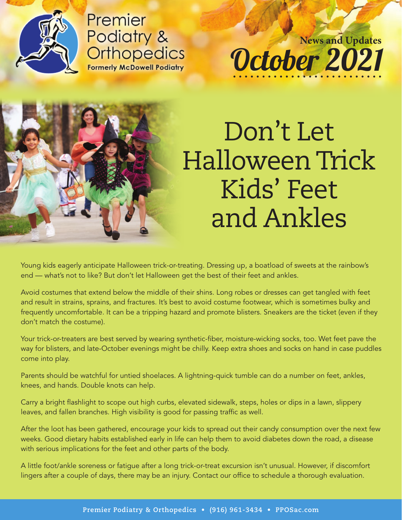

Premier Podiatry & **Orthopedics Formerly McDowell Podiatry** 

October 2021 **News and Updates**

Don't Let Halloween Trick Kids' Feet and Ankles

Young kids eagerly anticipate Halloween trick-or-treating. Dressing up, a boatload of sweets at the rainbow's end — what's not to like? But don't let Halloween get the best of their feet and ankles.

Avoid costumes that extend below the middle of their shins. Long robes or dresses can get tangled with feet and result in strains, sprains, and fractures. It's best to avoid costume footwear, which is sometimes bulky and frequently uncomfortable. It can be a tripping hazard and promote blisters. Sneakers are the ticket (even if they don't match the costume).

Your trick-or-treaters are best served by wearing synthetic-fiber, moisture-wicking socks, too. Wet feet pave the way for blisters, and late-October evenings might be chilly. Keep extra shoes and socks on hand in case puddles come into play.

Parents should be watchful for untied shoelaces. A lightning-quick tumble can do a number on feet, ankles, knees, and hands. Double knots can help.

Carry a bright flashlight to scope out high curbs, elevated sidewalk, steps, holes or dips in a lawn, slippery leaves, and fallen branches. High visibility is good for passing traffic as well.

After the loot has been gathered, encourage your kids to spread out their candy consumption over the next few weeks. Good dietary habits established early in life can help them to avoid diabetes down the road, a disease with serious implications for the feet and other parts of the body.

A little foot/ankle soreness or fatigue after a long trick-or-treat excursion isn't unusual. However, if discomfort lingers after a couple of days, there may be an injury. Contact our office to schedule a thorough evaluation.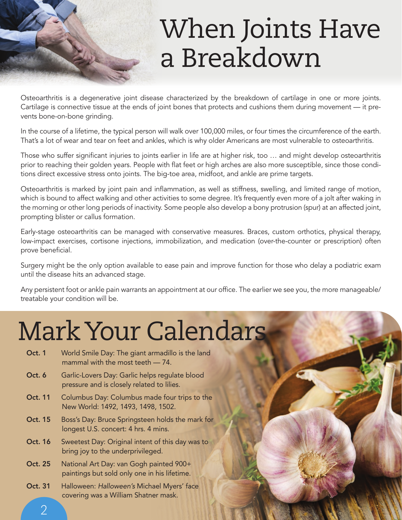### When Joints Have a Breakdown

Osteoarthritis is a degenerative joint disease characterized by the breakdown of cartilage in one or more joints. Cartilage is connective tissue at the ends of joint bones that protects and cushions them during movement — it prevents bone-on-bone grinding.

In the course of a lifetime, the typical person will walk over 100,000 miles, or four times the circumference of the earth. That's a lot of wear and tear on feet and ankles, which is why older Americans are most vulnerable to osteoarthritis.

Those who suffer significant injuries to joints earlier in life are at higher risk, too ... and might develop osteoarthritis prior to reaching their golden years. People with flat feet or high arches are also more susceptible, since those conditions direct excessive stress onto joints. The big-toe area, midfoot, and ankle are prime targets.

Osteoarthritis is marked by joint pain and inflammation, as well as stiffness, swelling, and limited range of motion, which is bound to affect walking and other activities to some degree. It's frequently even more of a jolt after waking in the morning or other long periods of inactivity. Some people also develop a bony protrusion (spur) at an affected joint, prompting blister or callus formation.

Early-stage osteoarthritis can be managed with conservative measures. Braces, custom orthotics, physical therapy, low-impact exercises, cortisone injections, immobilization, and medication (over-the-counter or prescription) often prove beneficial.

Surgery might be the only option available to ease pain and improve function for those who delay a podiatric exam until the disease hits an advanced stage.

Any persistent foot or ankle pain warrants an appointment at our office. The earlier we see you, the more manageable/ treatable your condition will be.

#### Mark Your Calendars

- Oct. 1 World Smile Day: The giant armadillo is the land mammal with the most teeth — 74.
- Oct. 6 Garlic-Lovers Day: Garlic helps regulate blood pressure and is closely related to lilies.
- Oct. 11 Columbus Day: Columbus made four trips to the New World: 1492, 1493, 1498, 1502.
- Oct. 15 Boss's Day: Bruce Springsteen holds the mark for longest U.S. concert: 4 hrs. 4 mins.
- Oct. 16 Sweetest Day: Original intent of this day was to bring joy to the underprivileged.
- Oct. 25 National Art Day: van Gogh painted 900+ paintings but sold only one in his lifetime.
- Oct. 31 Halloween: Halloween's Michael Myers' face covering was a William Shatner mask.

2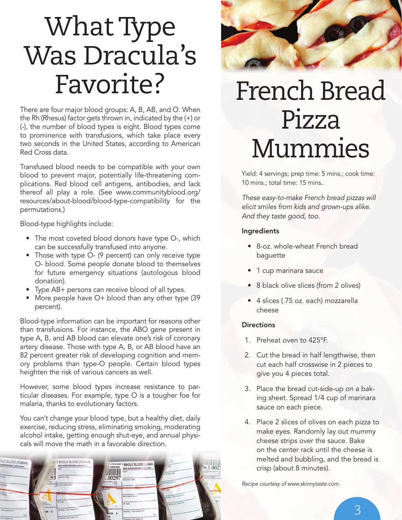## What Type Was Dracula's Favorite?

There are four major blood groups: A, B, AB, and O. When the Rh (Rhesus) factor gets thrown in, indicated by the (+) or (-), the number of blood types is eight. Blood types come to prominence with transfusions, which take place every two seconds in the United States, according to American Red Cross data.

Transfused blood needs to be compatible with your own blood to prevent major, potentially life-threatening complications. Red blood cell antigens, antibodies, and lack thereof all play a role. (See www.communityblood.org/ resources/about-blood/blood-type-compatibility for the permutations.)

Blood-type highlights include:

- The most coveted blood donors have type O-, which can be successfully transfused into anyone.
- Those with type O- (9 percent) can only receive type O- blood. Some people donate blood to themselves for future emergency situations (autologous blood donation).
- Type AB+ persons can receive blood of all types.
- More people have O+ blood than any other type (39) percent).

Blood-type information can be important for reasons other than transfusions. For instance, the ABO gene present in type A, B, and AB blood can elevate one's risk of coronary artery disease. Those with type A, B, or AB blood have an 82 percent greater risk of developing cognition and memory problems than type-O people. Certain blood types heighten the risk of various cancers as well.

However, some blood types increase resistance to particular diseases. For example, type O is a tougher foe for malaria, thanks to evolutionary factors.

You can't change your blood type, but a healthy diet, daily exercise, reducing stress, eliminating smoking, moderating alcohol intake, getting enough shut-eye, and annual physicals will move the math in a favorable direction.





### French Bread Pizza Mummies

Yield: 4 servings; prep time: 5 mins.; cook time: 10 mins.; total time: 15 mins..

These easy-to-make French bread pizzas will elicit smiles from kids and grown-ups alike. And they taste good, too.

#### Ingredients

- 8-oz. whole-wheat French bread baguette
- 1 cup marinara sauce
- 8 black olive slices (from 2 olives)
- 4 slices (.75 oz. each) mozzarella cheese

#### **Directions**

- 1. Preheat oven to 425°F.
- 2. Cut the bread in half lengthwise, then cut each half crosswise in 2 pieces to give you 4 pieces total.
- 3. Place the bread cut-side-up on a baking sheet. Spread 1/4 cup of marinara sauce on each piece.
- 4. Place 2 slices of olives on each pizza to make eyes. Randomly lay out mummy cheese strips over the sauce. Bake on the center rack until the cheese is melted and bubbling, and the bread is crisp (about 8 minutes).

Recipe courtesy of www.skinnytaste.com.